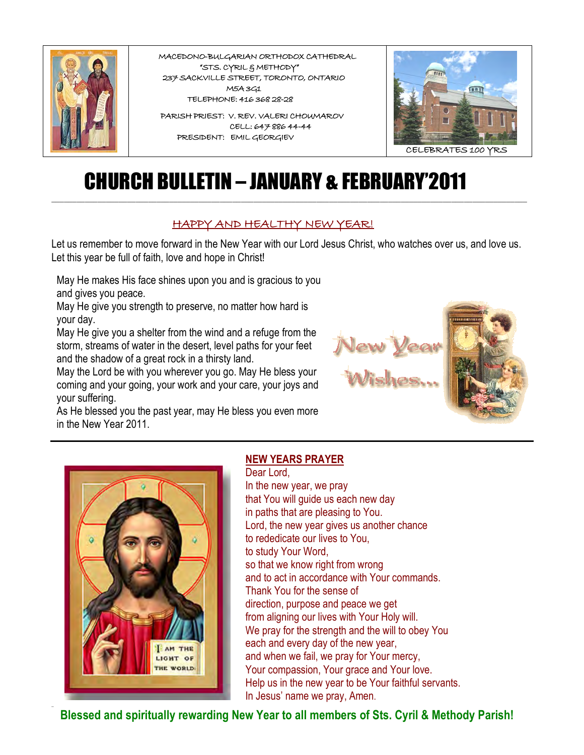

 **MACEDONO-BULGARIAN ORTHODOX CATHEDRAL "STS. CYRIL & METHODY" 237 SACKVILLE STREET, TORONTO, ONTARIO M5A 3G1 TELEPHONE: 416 368 28-28** 

 **PARISH PRIEST: V. REV. VALERI CHOUMAROV CELL: 647 886 44-44 PRESIDENT: EMIL GEORGIEV**



# CHURCH BULLETIN – JANUARY & FEBRUARY'2011

#### **HAPPY AND HEALTHY NEW YEAR!**

Let us remember to move forward in the New Year with our Lord Jesus Christ, who watches over us, and love us. Let this year be full of faith, love and hope in Christ!

 $\_$  ,  $\_$  ,  $\_$  ,  $\_$  ,  $\_$  ,  $\_$  ,  $\_$  ,  $\_$  ,  $\_$  ,  $\_$  ,  $\_$  ,  $\_$  ,  $\_$  ,  $\_$  ,  $\_$  ,  $\_$  ,  $\_$  ,  $\_$  ,  $\_$  ,  $\_$  ,  $\_$  ,  $\_$  ,  $\_$  ,  $\_$  ,  $\_$  ,  $\_$  ,  $\_$  ,  $\_$  ,  $\_$  ,  $\_$  ,  $\_$  ,  $\_$  ,  $\_$  ,  $\_$  ,  $\_$  ,  $\_$  ,  $\_$  ,

May He makes His face shines upon you and is gracious to you and gives you peace.

May He give you strength to preserve, no matter how hard is your day.

May He give you a shelter from the wind and a refuge from the storm, streams of water in the desert, level paths for your feet and the shadow of a great rock in a thirsty land.

May the Lord be with you wherever you go. May He bless your coming and your going, your work and your care, your joys and your suffering.

As He blessed you the past year, may He bless you even more in the New Year 2011.





**\_**

#### **NEW YEARS PRAYER**

Dear Lord, In the new year, we pray that You will guide us each new day in paths that are pleasing to You. Lord, the new year gives us another chance to rededicate our lives to You, to study Your Word, so that we know right from wrong and to act in accordance with Your commands. Thank You for the sense of direction, purpose and peace we get from aligning our lives with Your Holy will. We pray for the strength and the will to obey You each and every day of the new year, and when we fail, we pray for Your mercy, Your compassion, Your grace and Your love. Help us in the new year to be Your faithful servants. In Jesus' name we pray, Amen.

 **Blessed and spiritually rewarding New Year to all members of Sts. Cyril & Methody Parish!**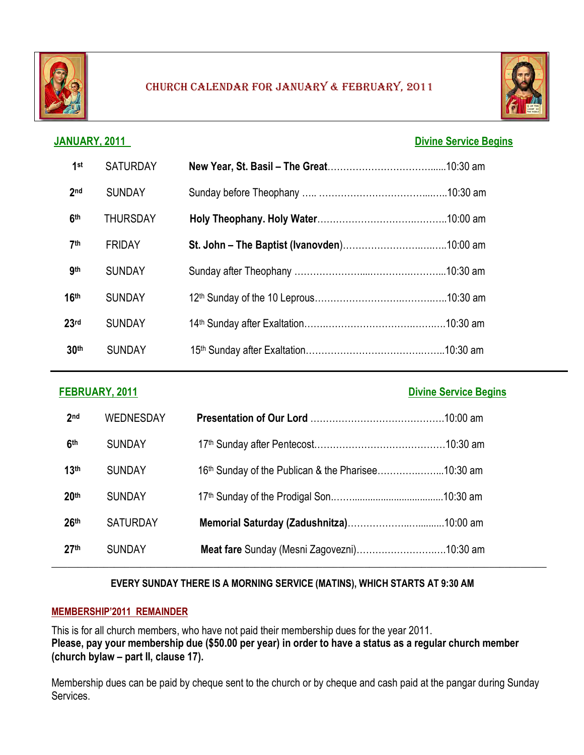

#### CHURCH CALENDAR FOR JANUARY & FEBRUARY, 2011



### **JANUARY, 2011 Divine Service Begins**

| 1 <sup>st</sup>  | <b>SATURDAY</b> |  |
|------------------|-----------------|--|
| 2 <sub>nd</sub>  | <b>SUNDAY</b>   |  |
| 6 <sup>th</sup>  | <b>THURSDAY</b> |  |
| 7 <sup>th</sup>  | <b>FRIDAY</b>   |  |
| <b>gth</b>       | <b>SUNDAY</b>   |  |
| 16 <sup>th</sup> | <b>SUNDAY</b>   |  |
| 23 <sub>rd</sub> | <b>SUNDAY</b>   |  |
| 30 <sup>th</sup> | <b>SUNDAY</b>   |  |

| FEBRUARY, 2011   |                  |                                                    | <b>Divine Service Begins</b> |
|------------------|------------------|----------------------------------------------------|------------------------------|
| 2 <sub>nd</sub>  | <b>WEDNESDAY</b> |                                                    |                              |
| 6 <sup>th</sup>  | <b>SUNDAY</b>    |                                                    |                              |
| 13 <sup>th</sup> | <b>SUNDAY</b>    | 16th Sunday of the Publican & the Pharisee10:30 am |                              |
| 20 <sup>th</sup> | <b>SUNDAY</b>    |                                                    |                              |
| 26 <sup>th</sup> | <b>SATURDAY</b>  |                                                    |                              |
| 27 <sup>th</sup> | <b>SUNDAY</b>    |                                                    |                              |

#### **EVERY SUNDAY THERE IS A MORNING SERVICE (MATINS), WHICH STARTS AT 9:30 AM**

#### **MEMBERSHIP'2011 REMAINDER**

This is for all church members, who have not paid their membership dues for the year 2011. **Please, pay your membership due (\$50.00 per year) in order to have a status as a regular church member (church bylaw – part II, clause 17).**

Membership dues can be paid by cheque sent to the church or by cheque and cash paid at the pangar during Sunday Services.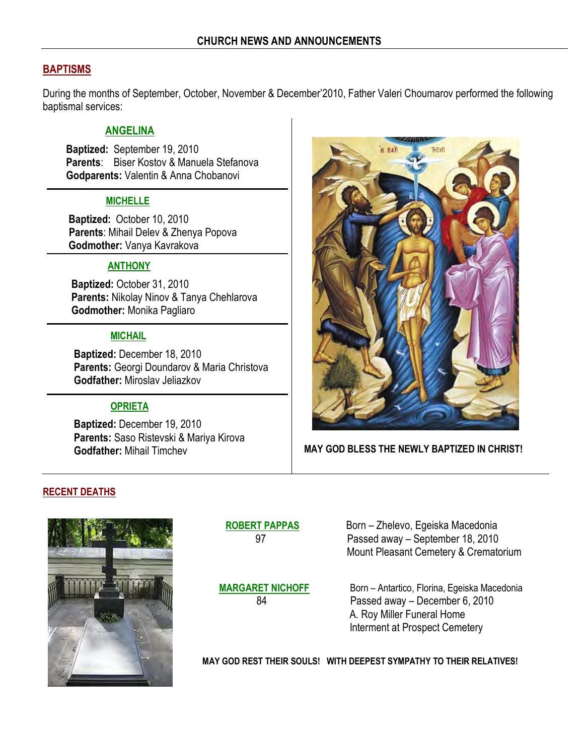#### **BAPTISMS**

During the months of September, October, November & December'2010, Father Valeri Choumarov performed the following baptismal services:

#### **ANGELINA**

 **Baptized:** September 19, 2010 **Parents**: Biser Kostov & Manuela Stefanova **Godparents:** Valentin & Anna Chobanovi

#### **MICHELLE**

**Baptized:** October 10, 2010 **Parents**: Mihail Delev & Zhenya Popova **Godmother:** Vanya Kavrakova

#### **ANTHONY**

 **Baptized:** October 31, 2010 **Parents:** Nikolay Ninov & Tanya Chehlarova **Godmother:** Monika Pagliaro

#### **MICHAIL**

 **Baptized:** December 18, 2010 **Parents:** Georgi Doundarov & Maria Christova **Godfather:** Miroslav Jeliazkov

#### **OPRIETA**

 **Baptized:** December 19, 2010 **Parents:** Saso Ristevski & Mariya Kirova **Godfather:** Mihail Timchev



#### **MAY GOD BLESS THE NEWLY BAPTIZED IN CHRIST!**

#### **RECENT DEATHS**

 $\overline{a}$ 



 **ROBERT PAPPAS** Born – Zhelevo, Egeiska Macedonia 97 Passed away – September 18, 2010 Mount Pleasant Cemetery & Crematorium

**MARGARET NICHOFF Born – Antartico, Florina, Egeiska Macedonia** 84 Passed away – December 6, 2010 A. Roy Miller Funeral Home Interment at Prospect Cemetery

 **MAY GOD REST THEIR SOULS! WITH DEEPEST SYMPATHY TO THEIR RELATIVES!**